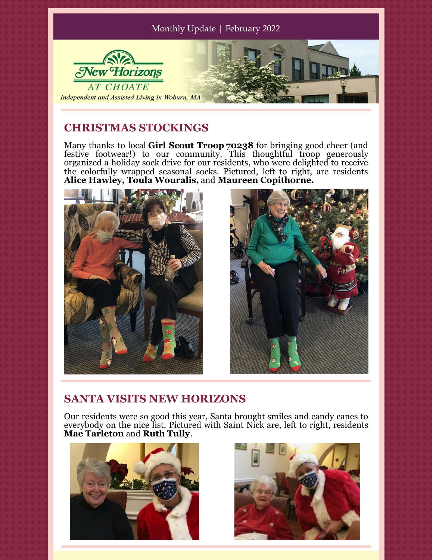

## **CHRISTMAS STOCKINGS**

Many thanks to local **Girl Scout Troop 70238** for bringing good cheer (and festive footwear!) to our community. This thoughtful troop generously organized a holiday sock drive for our residents, who were delighted to receive the colorfully wrapped seasonal socks. Pictured, left to right, are residents **Alice Hawley, Toula Wouralis,** and **Maureen Copithorne.**





## **SANTA VISITS NEW HORIZONS**

Our residents were so good this year, Santa brought smiles and candy canes to everybody on the nice list. Pictured with Saint Nick are, left to right, residents **Mae Tarleton** and **Ruth Tully**.